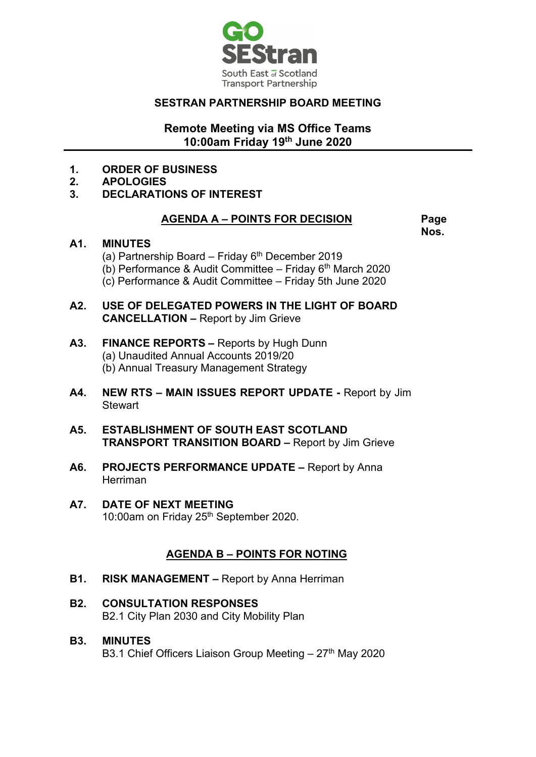

## **SESTRAN PARTNERSHIP BOARD MEETING**

### **Remote Meeting via MS Office Teams 10:00am Friday 19th June 2020**

- **1. ORDER OF BUSINESS**
- **2. APOLOGIES**
- **3. DECLARATIONS OF INTEREST**

#### **AGENDA A – POINTS FOR DECISION Page**

**Nos.**

#### **A1. MINUTES**

- (a) Partnership Board Friday  $6<sup>th</sup>$  December 2019 (b) Performance & Audit Committee – Friday  $6<sup>th</sup>$  March 2020 (c) Performance & Audit Committee – Friday 5th June 2020
- **A2. USE OF DELEGATED POWERS IN THE LIGHT OF BOARD CANCELLATION –** Report by Jim Grieve
- **A3. FINANCE REPORTS –** Reports by Hugh Dunn (a) Unaudited Annual Accounts 2019/20 (b) Annual Treasury Management Strategy
- **A4. NEW RTS – MAIN ISSUES REPORT UPDATE -** Report by Jim **Stewart**
- **A5. ESTABLISHMENT OF SOUTH EAST SCOTLAND TRANSPORT TRANSITION BOARD –** Report by Jim Grieve
- **A6. PROJECTS PERFORMANCE UPDATE –** Report by Anna Herriman
- **A7. DATE OF NEXT MEETING** 10:00am on Friday 25<sup>th</sup> September 2020.

# **AGENDA B – POINTS FOR NOTING**

- **B1. RISK MANAGEMENT –** Report by Anna Herriman
- **B2. CONSULTATION RESPONSES** B2.1 City Plan 2030 and City Mobility Plan
- **B3. MINUTES** B3.1 Chief Officers Liaison Group Meeting  $-27<sup>th</sup>$  May 2020